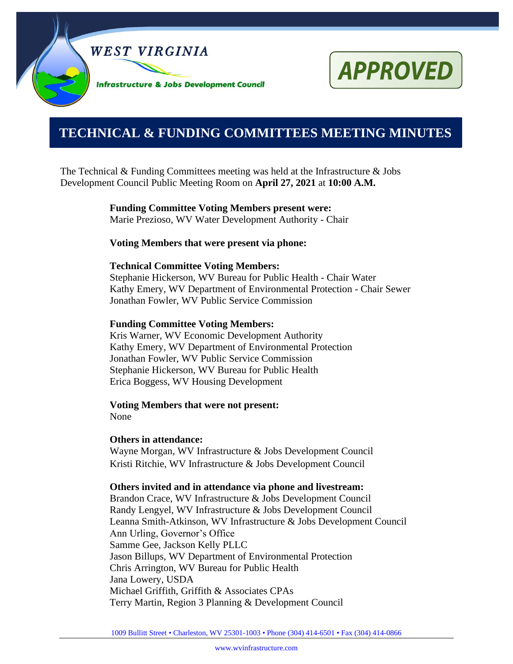



# **0000000000000000000000000000000000000000000000000000. TECHNICAL & FUNDING COMMITTEES MEETING MINUTES**

The Technical & Funding Committees meeting was held at the Infrastructure  $\&$  Jobs Development Council Public Meeting Room on **April 27, 2021** at **10:00 A.M.**

> **Funding Committee Voting Members present were:** Marie Prezioso, WV Water Development Authority - Chair

**Voting Members that were present via phone:**

#### **Technical Committee Voting Members:**

Stephanie Hickerson, WV Bureau for Public Health - Chair Water Kathy Emery, WV Department of Environmental Protection - Chair Sewer Jonathan Fowler, WV Public Service Commission

#### **Funding Committee Voting Members:**

Kris Warner, WV Economic Development Authority Kathy Emery, WV Department of Environmental Protection Jonathan Fowler, WV Public Service Commission Stephanie Hickerson, WV Bureau for Public Health Erica Boggess, WV Housing Development

#### **Voting Members that were not present:** None

#### **Others in attendance:**

Wayne Morgan, WV Infrastructure & Jobs Development Council Kristi Ritchie, WV Infrastructure & Jobs Development Council

#### **Others invited and in attendance via phone and livestream:**

Brandon Crace, WV Infrastructure & Jobs Development Council Randy Lengyel, WV Infrastructure & Jobs Development Council Leanna Smith-Atkinson, WV Infrastructure & Jobs Development Council Ann Urling, Governor's Office Samme Gee, Jackson Kelly PLLC Jason Billups, WV Department of Environmental Protection Chris Arrington, WV Bureau for Public Health Jana Lowery, USDA Michael Griffith, Griffith & Associates CPAs Terry Martin, Region 3 Planning & Development Council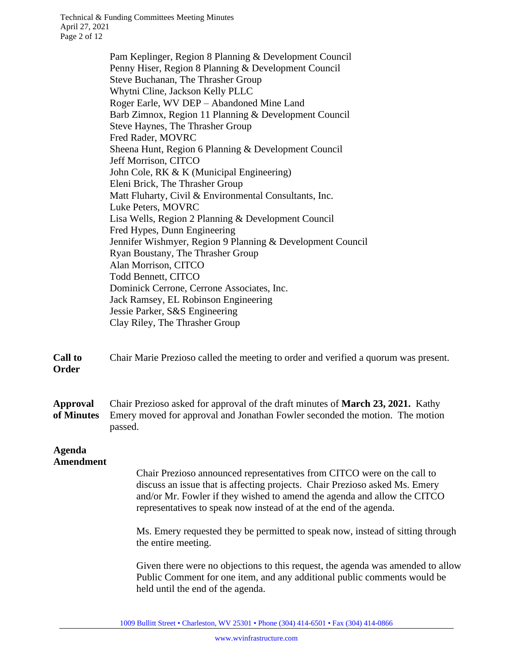Technical & Funding Committees Meeting Minutes April 27, 2021 Page 2 of 12

> Pam Keplinger, Region 8 Planning & Development Council Penny Hiser, Region 8 Planning & Development Council Steve Buchanan, The Thrasher Group Whytni Cline, Jackson Kelly PLLC Roger Earle, WV DEP – Abandoned Mine Land Barb Zimnox, Region 11 Planning & Development Council Steve Haynes, The Thrasher Group Fred Rader, MOVRC Sheena Hunt, Region 6 Planning & Development Council Jeff Morrison, CITCO John Cole, RK & K (Municipal Engineering) Eleni Brick, The Thrasher Group Matt Fluharty, Civil & Environmental Consultants, Inc. Luke Peters, MOVRC Lisa Wells, Region 2 Planning & Development Council Fred Hypes, Dunn Engineering Jennifer Wishmyer, Region 9 Planning & Development Council Ryan Boustany, The Thrasher Group Alan Morrison, CITCO Todd Bennett, CITCO Dominick Cerrone, Cerrone Associates, Inc. Jack Ramsey, EL Robinson Engineering Jessie Parker, S&S Engineering Clay Riley, The Thrasher Group

**Call to Order** Chair Marie Prezioso called the meeting to order and verified a quorum was present.

**Approval of Minutes** Chair Prezioso asked for approval of the draft minutes of **March 23, 2021.** Kathy Emery moved for approval and Jonathan Fowler seconded the motion. The motion passed.

#### **Agenda Amendment**

Chair Prezioso announced representatives from CITCO were on the call to discuss an issue that is affecting projects. Chair Prezioso asked Ms. Emery and/or Mr. Fowler if they wished to amend the agenda and allow the CITCO representatives to speak now instead of at the end of the agenda.

Ms. Emery requested they be permitted to speak now, instead of sitting through the entire meeting.

Given there were no objections to this request, the agenda was amended to allow Public Comment for one item, and any additional public comments would be held until the end of the agenda.

1009 Bullitt Street • Charleston, WV 25301 • Phone (304) 414-6501 • Fax (304) 414-0866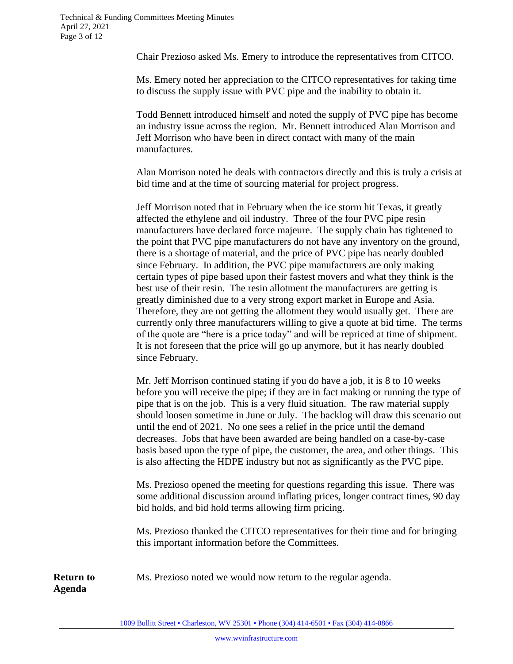Chair Prezioso asked Ms. Emery to introduce the representatives from CITCO.

Ms. Emery noted her appreciation to the CITCO representatives for taking time to discuss the supply issue with PVC pipe and the inability to obtain it.

Todd Bennett introduced himself and noted the supply of PVC pipe has become an industry issue across the region. Mr. Bennett introduced Alan Morrison and Jeff Morrison who have been in direct contact with many of the main manufactures.

Alan Morrison noted he deals with contractors directly and this is truly a crisis at bid time and at the time of sourcing material for project progress.

Jeff Morrison noted that in February when the ice storm hit Texas, it greatly affected the ethylene and oil industry. Three of the four PVC pipe resin manufacturers have declared force majeure. The supply chain has tightened to the point that PVC pipe manufacturers do not have any inventory on the ground, there is a shortage of material, and the price of PVC pipe has nearly doubled since February. In addition, the PVC pipe manufacturers are only making certain types of pipe based upon their fastest movers and what they think is the best use of their resin. The resin allotment the manufacturers are getting is greatly diminished due to a very strong export market in Europe and Asia. Therefore, they are not getting the allotment they would usually get. There are currently only three manufacturers willing to give a quote at bid time. The terms of the quote are "here is a price today" and will be repriced at time of shipment. It is not foreseen that the price will go up anymore, but it has nearly doubled since February.

Mr. Jeff Morrison continued stating if you do have a job, it is 8 to 10 weeks before you will receive the pipe; if they are in fact making or running the type of pipe that is on the job. This is a very fluid situation. The raw material supply should loosen sometime in June or July. The backlog will draw this scenario out until the end of 2021. No one sees a relief in the price until the demand decreases. Jobs that have been awarded are being handled on a case-by-case basis based upon the type of pipe, the customer, the area, and other things. This is also affecting the HDPE industry but not as significantly as the PVC pipe.

Ms. Prezioso opened the meeting for questions regarding this issue. There was some additional discussion around inflating prices, longer contract times, 90 day bid holds, and bid hold terms allowing firm pricing.

Ms. Prezioso thanked the CITCO representatives for their time and for bringing this important information before the Committees.

Ms. Prezioso noted we would now return to the regular agenda.

**Return to Agenda**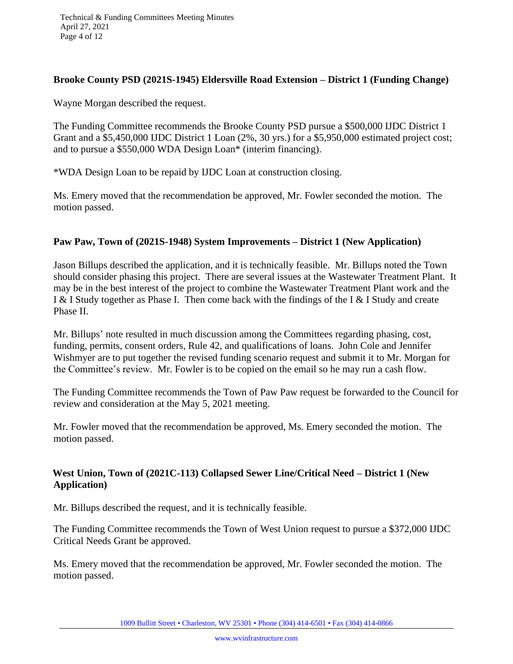## **Brooke County PSD (2021S-1945) Eldersville Road Extension – District 1 (Funding Change)**

Wayne Morgan described the request.

The Funding Committee recommends the Brooke County PSD pursue a \$500,000 IJDC District 1 Grant and a \$5,450,000 IJDC District 1 Loan (2%, 30 yrs.) for a \$5,950,000 estimated project cost; and to pursue a \$550,000 WDA Design Loan\* (interim financing).

\*WDA Design Loan to be repaid by IJDC Loan at construction closing.

Ms. Emery moved that the recommendation be approved, Mr. Fowler seconded the motion. The motion passed.

## **Paw Paw, Town of (2021S-1948) System Improvements – District 1 (New Application)**

Jason Billups described the application, and it is technically feasible. Mr. Billups noted the Town should consider phasing this project. There are several issues at the Wastewater Treatment Plant. It may be in the best interest of the project to combine the Wastewater Treatment Plant work and the I & I Study together as Phase I. Then come back with the findings of the I & I Study and create Phase II.

Mr. Billups' note resulted in much discussion among the Committees regarding phasing, cost, funding, permits, consent orders, Rule 42, and qualifications of loans. John Cole and Jennifer Wishmyer are to put together the revised funding scenario request and submit it to Mr. Morgan for the Committee's review. Mr. Fowler is to be copied on the email so he may run a cash flow.

The Funding Committee recommends the Town of Paw Paw request be forwarded to the Council for review and consideration at the May 5, 2021 meeting.

Mr. Fowler moved that the recommendation be approved, Ms. Emery seconded the motion. The motion passed.

## **West Union, Town of (2021C-113) Collapsed Sewer Line/Critical Need – District 1 (New Application)**

Mr. Billups described the request, and it is technically feasible.

The Funding Committee recommends the Town of West Union request to pursue a \$372,000 IJDC Critical Needs Grant be approved.

Ms. Emery moved that the recommendation be approved, Mr. Fowler seconded the motion. The motion passed.

1009 Bullitt Street • Charleston, WV 25301 • Phone (304) 414-6501 • Fax (304) 414-0866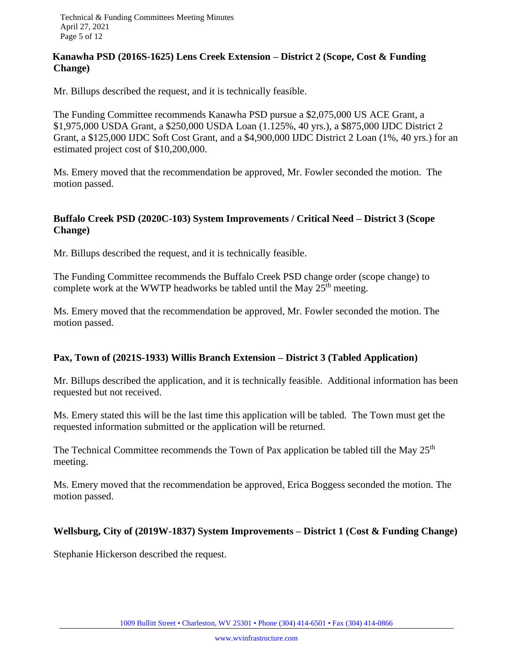Technical & Funding Committees Meeting Minutes April 27, 2021 Page 5 of 12

## **Kanawha PSD (2016S-1625) Lens Creek Extension – District 2 (Scope, Cost & Funding Change)**

Mr. Billups described the request, and it is technically feasible.

The Funding Committee recommends Kanawha PSD pursue a \$2,075,000 US ACE Grant, a \$1,975,000 USDA Grant, a \$250,000 USDA Loan (1.125%, 40 yrs.), a \$875,000 IJDC District 2 Grant, a \$125,000 IJDC Soft Cost Grant, and a \$4,900,000 IJDC District 2 Loan (1%, 40 yrs.) for an estimated project cost of \$10,200,000.

Ms. Emery moved that the recommendation be approved, Mr. Fowler seconded the motion. The motion passed.

## **Buffalo Creek PSD (2020C-103) System Improvements / Critical Need – District 3 (Scope Change)**

Mr. Billups described the request, and it is technically feasible.

The Funding Committee recommends the Buffalo Creek PSD change order (scope change) to complete work at the WWTP headworks be tabled until the May  $25<sup>th</sup>$  meeting.

Ms. Emery moved that the recommendation be approved, Mr. Fowler seconded the motion. The motion passed.

## **Pax, Town of (2021S-1933) Willis Branch Extension – District 3 (Tabled Application)**

Mr. Billups described the application, and it is technically feasible. Additional information has been requested but not received.

Ms. Emery stated this will be the last time this application will be tabled. The Town must get the requested information submitted or the application will be returned.

The Technical Committee recommends the Town of Pax application be tabled till the May 25<sup>th</sup> meeting.

Ms. Emery moved that the recommendation be approved, Erica Boggess seconded the motion. The motion passed.

#### **Wellsburg, City of (2019W-1837) System Improvements – District 1 (Cost & Funding Change)**

Stephanie Hickerson described the request.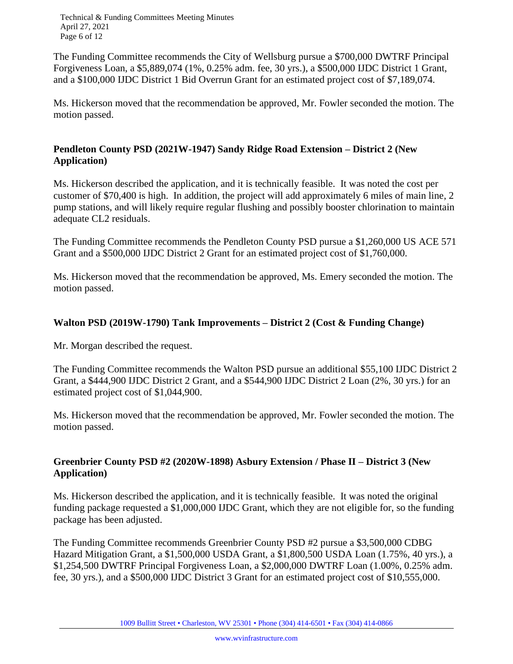Technical & Funding Committees Meeting Minutes April 27, 2021 Page 6 of 12

The Funding Committee recommends the City of Wellsburg pursue a \$700,000 DWTRF Principal Forgiveness Loan, a \$5,889,074 (1%, 0.25% adm. fee, 30 yrs.), a \$500,000 IJDC District 1 Grant, and a \$100,000 IJDC District 1 Bid Overrun Grant for an estimated project cost of \$7,189,074.

Ms. Hickerson moved that the recommendation be approved, Mr. Fowler seconded the motion. The motion passed.

## **Pendleton County PSD (2021W-1947) Sandy Ridge Road Extension – District 2 (New Application)**

Ms. Hickerson described the application, and it is technically feasible. It was noted the cost per customer of \$70,400 is high. In addition, the project will add approximately 6 miles of main line, 2 pump stations, and will likely require regular flushing and possibly booster chlorination to maintain adequate CL2 residuals.

The Funding Committee recommends the Pendleton County PSD pursue a \$1,260,000 US ACE 571 Grant and a \$500,000 IJDC District 2 Grant for an estimated project cost of \$1,760,000.

Ms. Hickerson moved that the recommendation be approved, Ms. Emery seconded the motion. The motion passed.

# **Walton PSD (2019W-1790) Tank Improvements – District 2 (Cost & Funding Change)**

Mr. Morgan described the request.

The Funding Committee recommends the Walton PSD pursue an additional \$55,100 IJDC District 2 Grant, a \$444,900 IJDC District 2 Grant, and a \$544,900 IJDC District 2 Loan (2%, 30 yrs.) for an estimated project cost of \$1,044,900.

Ms. Hickerson moved that the recommendation be approved, Mr. Fowler seconded the motion. The motion passed.

# **Greenbrier County PSD #2 (2020W-1898) Asbury Extension / Phase II – District 3 (New Application)**

Ms. Hickerson described the application, and it is technically feasible. It was noted the original funding package requested a \$1,000,000 IJDC Grant, which they are not eligible for, so the funding package has been adjusted.

The Funding Committee recommends Greenbrier County PSD #2 pursue a \$3,500,000 CDBG Hazard Mitigation Grant, a \$1,500,000 USDA Grant, a \$1,800,500 USDA Loan (1.75%, 40 yrs.), a \$1,254,500 DWTRF Principal Forgiveness Loan, a \$2,000,000 DWTRF Loan (1.00%, 0.25% adm. fee, 30 yrs.), and a \$500,000 IJDC District 3 Grant for an estimated project cost of \$10,555,000.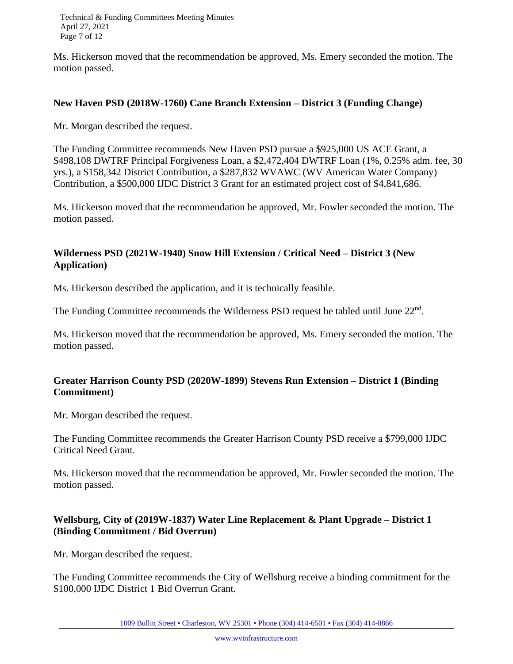Technical & Funding Committees Meeting Minutes April 27, 2021 Page 7 of 12

Ms. Hickerson moved that the recommendation be approved, Ms. Emery seconded the motion. The motion passed.

#### **New Haven PSD (2018W-1760) Cane Branch Extension – District 3 (Funding Change)**

Mr. Morgan described the request.

The Funding Committee recommends New Haven PSD pursue a \$925,000 US ACE Grant, a \$498,108 DWTRF Principal Forgiveness Loan, a \$2,472,404 DWTRF Loan (1%, 0.25% adm. fee, 30 yrs.), a \$158,342 District Contribution, a \$287,832 WVAWC (WV American Water Company) Contribution, a \$500,000 IJDC District 3 Grant for an estimated project cost of \$4,841,686.

Ms. Hickerson moved that the recommendation be approved, Mr. Fowler seconded the motion. The motion passed.

# **Wilderness PSD (2021W-1940) Snow Hill Extension / Critical Need – District 3 (New Application)**

Ms. Hickerson described the application, and it is technically feasible.

The Funding Committee recommends the Wilderness PSD request be tabled until June 22<sup>nd</sup>.

Ms. Hickerson moved that the recommendation be approved, Ms. Emery seconded the motion. The motion passed.

## **Greater Harrison County PSD (2020W-1899) Stevens Run Extension – District 1 (Binding Commitment)**

Mr. Morgan described the request.

The Funding Committee recommends the Greater Harrison County PSD receive a \$799,000 IJDC Critical Need Grant.

Ms. Hickerson moved that the recommendation be approved, Mr. Fowler seconded the motion. The motion passed.

## **Wellsburg, City of (2019W-1837) Water Line Replacement & Plant Upgrade – District 1 (Binding Commitment / Bid Overrun)**

Mr. Morgan described the request.

The Funding Committee recommends the City of Wellsburg receive a binding commitment for the \$100,000 IJDC District 1 Bid Overrun Grant.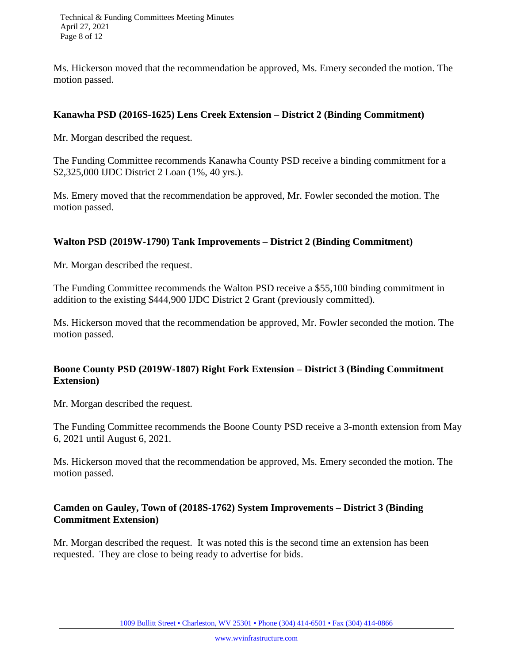Technical & Funding Committees Meeting Minutes April 27, 2021 Page 8 of 12

Ms. Hickerson moved that the recommendation be approved, Ms. Emery seconded the motion. The motion passed.

#### **Kanawha PSD (2016S-1625) Lens Creek Extension – District 2 (Binding Commitment)**

Mr. Morgan described the request.

The Funding Committee recommends Kanawha County PSD receive a binding commitment for a \$2,325,000 IJDC District 2 Loan (1%, 40 yrs.).

Ms. Emery moved that the recommendation be approved, Mr. Fowler seconded the motion. The motion passed.

## **Walton PSD (2019W-1790) Tank Improvements – District 2 (Binding Commitment)**

Mr. Morgan described the request.

The Funding Committee recommends the Walton PSD receive a \$55,100 binding commitment in addition to the existing \$444,900 IJDC District 2 Grant (previously committed).

Ms. Hickerson moved that the recommendation be approved, Mr. Fowler seconded the motion. The motion passed.

## **Boone County PSD (2019W-1807) Right Fork Extension – District 3 (Binding Commitment Extension)**

Mr. Morgan described the request.

The Funding Committee recommends the Boone County PSD receive a 3-month extension from May 6, 2021 until August 6, 2021.

Ms. Hickerson moved that the recommendation be approved, Ms. Emery seconded the motion. The motion passed.

## **Camden on Gauley, Town of (2018S-1762) System Improvements – District 3 (Binding Commitment Extension)**

Mr. Morgan described the request. It was noted this is the second time an extension has been requested. They are close to being ready to advertise for bids.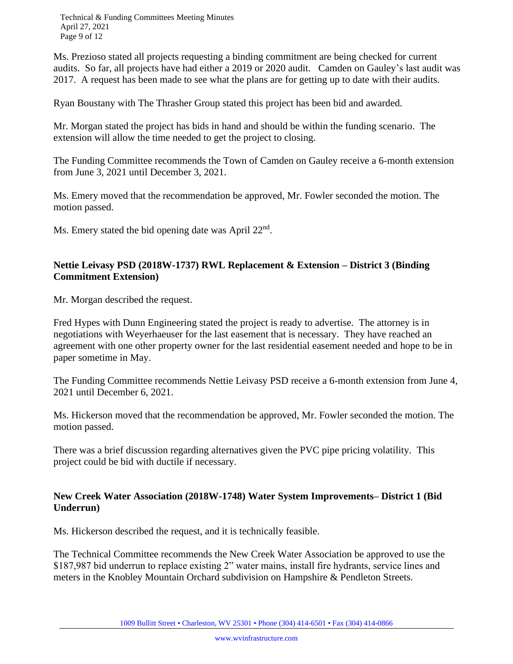Technical & Funding Committees Meeting Minutes April 27, 2021 Page 9 of 12

Ms. Prezioso stated all projects requesting a binding commitment are being checked for current audits. So far, all projects have had either a 2019 or 2020 audit. Camden on Gauley's last audit was 2017. A request has been made to see what the plans are for getting up to date with their audits.

Ryan Boustany with The Thrasher Group stated this project has been bid and awarded.

Mr. Morgan stated the project has bids in hand and should be within the funding scenario. The extension will allow the time needed to get the project to closing.

The Funding Committee recommends the Town of Camden on Gauley receive a 6-month extension from June 3, 2021 until December 3, 2021.

Ms. Emery moved that the recommendation be approved, Mr. Fowler seconded the motion. The motion passed.

Ms. Emery stated the bid opening date was April 22<sup>nd</sup>.

## **Nettie Leivasy PSD (2018W-1737) RWL Replacement & Extension – District 3 (Binding Commitment Extension)**

Mr. Morgan described the request.

Fred Hypes with Dunn Engineering stated the project is ready to advertise. The attorney is in negotiations with Weyerhaeuser for the last easement that is necessary. They have reached an agreement with one other property owner for the last residential easement needed and hope to be in paper sometime in May.

The Funding Committee recommends Nettie Leivasy PSD receive a 6-month extension from June 4, 2021 until December 6, 2021.

Ms. Hickerson moved that the recommendation be approved, Mr. Fowler seconded the motion. The motion passed.

There was a brief discussion regarding alternatives given the PVC pipe pricing volatility. This project could be bid with ductile if necessary.

#### **New Creek Water Association (2018W-1748) Water System Improvements– District 1 (Bid Underrun)**

Ms. Hickerson described the request, and it is technically feasible.

The Technical Committee recommends the New Creek Water Association be approved to use the \$187,987 bid underrun to replace existing 2" water mains, install fire hydrants, service lines and meters in the Knobley Mountain Orchard subdivision on Hampshire & Pendleton Streets.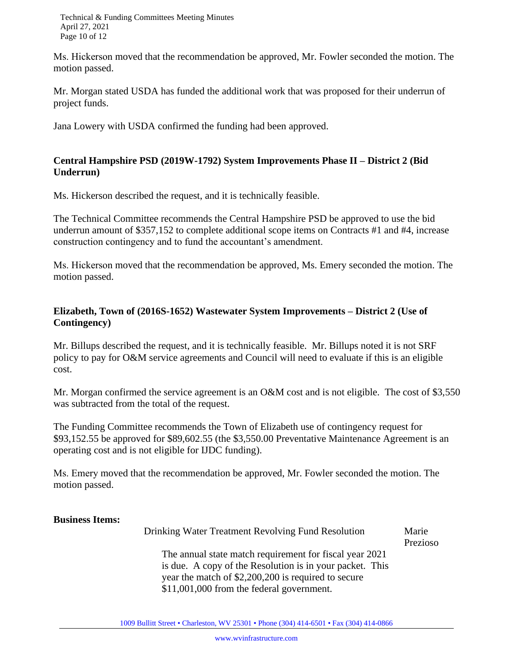Technical & Funding Committees Meeting Minutes April 27, 2021 Page 10 of 12

Ms. Hickerson moved that the recommendation be approved, Mr. Fowler seconded the motion. The motion passed.

Mr. Morgan stated USDA has funded the additional work that was proposed for their underrun of project funds.

Jana Lowery with USDA confirmed the funding had been approved.

## **Central Hampshire PSD (2019W-1792) System Improvements Phase II – District 2 (Bid Underrun)**

Ms. Hickerson described the request, and it is technically feasible.

The Technical Committee recommends the Central Hampshire PSD be approved to use the bid underrun amount of \$357,152 to complete additional scope items on Contracts #1 and #4, increase construction contingency and to fund the accountant's amendment.

Ms. Hickerson moved that the recommendation be approved, Ms. Emery seconded the motion. The motion passed.

# **Elizabeth, Town of (2016S-1652) Wastewater System Improvements – District 2 (Use of Contingency)**

Mr. Billups described the request, and it is technically feasible. Mr. Billups noted it is not SRF policy to pay for O&M service agreements and Council will need to evaluate if this is an eligible cost.

Mr. Morgan confirmed the service agreement is an O&M cost and is not eligible. The cost of \$3,550 was subtracted from the total of the request.

The Funding Committee recommends the Town of Elizabeth use of contingency request for \$93,152.55 be approved for \$89,602.55 (the \$3,550.00 Preventative Maintenance Agreement is an operating cost and is not eligible for IJDC funding).

Ms. Emery moved that the recommendation be approved, Mr. Fowler seconded the motion. The motion passed.

#### **Business Items:**

| Drinking Water Treatment Revolving Fund Resolution       | Marie    |
|----------------------------------------------------------|----------|
|                                                          | Prezioso |
| The annual state match requirement for fiscal year 2021  |          |
| is due. A copy of the Resolution is in your packet. This |          |
| year the match of \$2,200,200 is required to secure      |          |
| \$11,001,000 from the federal government.                |          |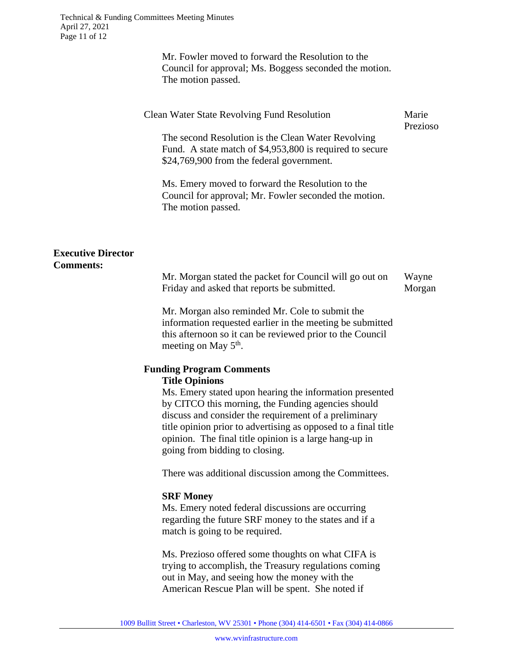Mr. Fowler moved to forward the Resolution to the Council for approval; Ms. Boggess seconded the motion. The motion passed.

|                                               | <b>Clean Water State Revolving Fund Resolution</b><br>The second Resolution is the Clean Water Revolving<br>Fund. A state match of \$4,953,800 is required to secure<br>\$24,769,900 from the federal government.                                                                                                                    | Marie<br>Prezioso |
|-----------------------------------------------|--------------------------------------------------------------------------------------------------------------------------------------------------------------------------------------------------------------------------------------------------------------------------------------------------------------------------------------|-------------------|
|                                               | Ms. Emery moved to forward the Resolution to the<br>Council for approval; Mr. Fowler seconded the motion.<br>The motion passed.                                                                                                                                                                                                      |                   |
| <b>Executive Director</b><br><b>Comments:</b> | Mr. Morgan stated the packet for Council will go out on                                                                                                                                                                                                                                                                              | Wayne             |
|                                               | Friday and asked that reports be submitted.                                                                                                                                                                                                                                                                                          | Morgan            |
|                                               | Mr. Morgan also reminded Mr. Cole to submit the<br>information requested earlier in the meeting be submitted<br>this afternoon so it can be reviewed prior to the Council<br>meeting on May 5 <sup>th</sup> .                                                                                                                        |                   |
|                                               | <b>Funding Program Comments</b>                                                                                                                                                                                                                                                                                                      |                   |
|                                               | <b>Title Opinions</b>                                                                                                                                                                                                                                                                                                                |                   |
|                                               | Ms. Emery stated upon hearing the information presented<br>by CITCO this morning, the Funding agencies should<br>discuss and consider the requirement of a preliminary<br>title opinion prior to advertising as opposed to a final title<br>opinion. The final title opinion is a large hang-up in<br>going from bidding to closing. |                   |
|                                               | There was additional discussion among the Committees.                                                                                                                                                                                                                                                                                |                   |
|                                               | <b>SRF Money</b>                                                                                                                                                                                                                                                                                                                     |                   |
|                                               | Ms. Emery noted federal discussions are occurring<br>regarding the future SRF money to the states and if a                                                                                                                                                                                                                           |                   |

Ms. Prezioso offered some thoughts on what CIFA is trying to accomplish, the Treasury regulations coming out in May, and seeing how the money with the American Rescue Plan will be spent. She noted if

match is going to be required.